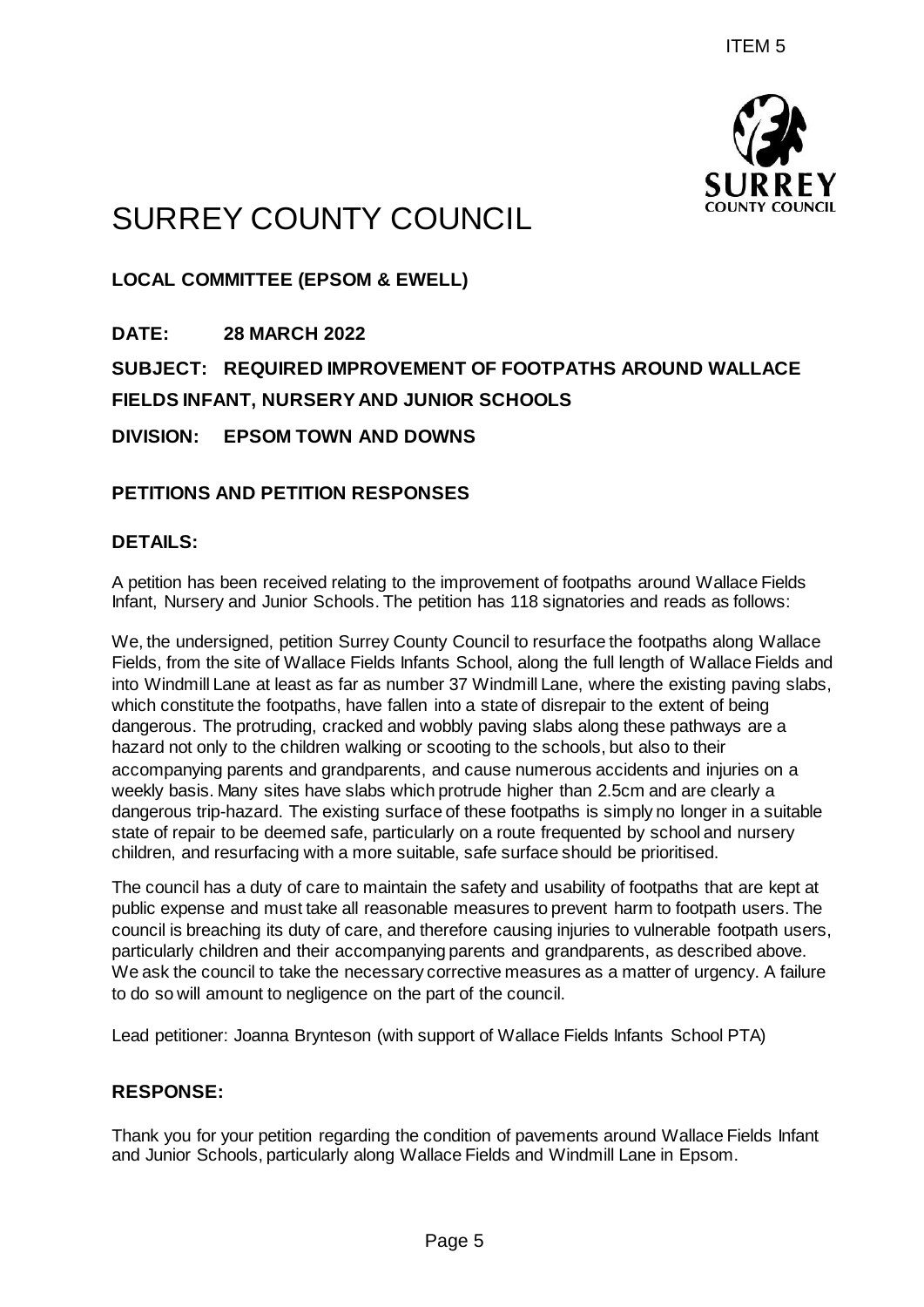

# SURREY COUNTY COUNCIL

**LOCAL COMMITTEE (EPSOM & EWELL)**

**DATE: 28 MARCH 2022 SUBJECT: REQUIRED IMPROVEMENT OF FOOTPATHS AROUND WALLACE FIELDS INFANT, NURSERY AND JUNIOR SCHOOLS DIVISION: EPSOM TOWN AND DOWNS**

# **PETITIONS AND PETITION RESPONSES**

## **DETAILS:**

A petition has been received relating to the improvement of footpaths around Wallace Fields Infant, Nursery and Junior Schools. The petition has 118 signatories and reads as follows:

We, the undersigned, petition Surrey County Council to resurface the footpaths along Wallace Fields, from the site of Wallace Fields Infants School, along the full length of Wallace Fields and into Windmill Lane at least as far as number 37 Windmill Lane, where the existing paving slabs, which constitute the footpaths, have fallen into a state of disrepair to the extent of being dangerous. The protruding, cracked and wobbly paving slabs along these pathways are a hazard not only to the children walking or scooting to the schools, but also to their accompanying parents and grandparents, and cause numerous accidents and injuries on a weekly basis. Many sites have slabs which protrude higher than 2.5cm and are clearly a dangerous trip-hazard. The existing surface of these footpaths is simply no longer in a suitable state of repair to be deemed safe, particularly on a route frequented by school and nursery children, and resurfacing with a more suitable, safe surface should be prioritised. ITEM 5<br>
PINCILE<br>
FILENT OF FOOTPATHS AROUND WALLAC<br>
FILENT OF FOOTPATHS AROUND WALLAC<br>
NIOR SCHOOLS<br>
WINS<br>
NSES<br>
SES EMPLOY Council to resurface the footpaths around Wallace Field<br>
therefore and the signatories and reads a

The council has a duty of care to maintain the safety and usability of footpaths that are kept at public expense and must take all reasonable measures to prevent harm to footpath users. The council is breaching its duty of care, and therefore causing injuries to vulnerable footpath users, particularly children and their accompanying parents and grandparents, as described above. We ask the council to take the necessary corrective measures as a matter of urgency. A failure to do so will amount to negligence on the part of the council.

Lead petitioner: Joanna Brynteson (with support of Wallace Fields Infants School PTA)

### **RESPONSE:**

Thank you for your petition regarding the condition of pavements around Wallace Fields Infant and Junior Schools, particularly along Wallace Fields and Windmill Lane in Epsom.